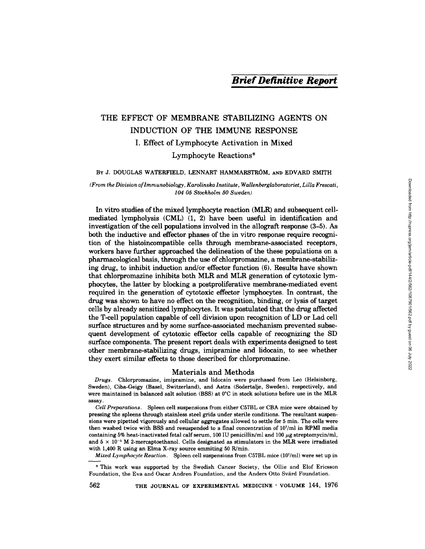# THE EFFECT OF MEMBRANE STABILIZING AGENTS ON INDUCTION OF THE IMMUNE RESPONSE I. Effect of Lymphocyte Activation in Mixed Lymphocyte Reactions\*

#### BY J. DOUGLAS WATERFIELD, LENNART HAMMARSTROM, AND EDVARD SMITH

#### *(From the Division of Immunobiology, Karolinska Institute, Wallenberglaboratoriet, Lilla Frescati, 104 05 Stockholm 50 Sweden)*

In vitro studies of the mixed lymphocyte reaction (MLR) and subsequent cellmediated lympholysis (CML) (1, 2) have been useful in identification and investigation of the cell populations involved in the allograft response (3-5). As both the inductive and effector phases of the in vitro response require recognition of the histoincompatible cells through membrane-associated receptors, workers have further approached the delineation of the these populations on a pharmacological basis, through the use of chlorpromazine, a membrane-stabilizing drug, to inhibit induction and/or effector function (6). Results have shown that chlorpromazine inhibits both MLR and MLR generation of cytotoxic lymphocytes, the latter by blocking a postproliferative membrane-mediated event required in the generation of cytotoxic effector lymphocytes. In contrast, the drug was shown to have no effect on the recognition, binding, or lysis of target cells by already sensitized lymphocytes. It was postulated that the drug affected the T-cell population capable of cell division upon recognition of LD or Lad cell surface structures and by some surface-associated mechanism prevented subsequent development of cytotoxic effector cells capable of recognizing the SD surface components. The present report deals with experiments designed to test other membrane-stabilizing drugs, imipramine and lidocain, to see whether they exert similar effects to those described for chlorpromazine.

#### Materials and Methods

*Drugs.* Chlorpromazine, imipramine, and lidocain were purchased from Leo (Helsinborg, Sweden), Ciba-Geigy (Basel, Switzerland), and Astra (Sodertalje, Sweden), respectively, and were maintained in balanced salt solution (BSS) at 0°C in stock solutions before use in the MLR assay.

*Cell Preparations.* Spleen cell suspensions from either C57BL or CBA mice were obtained by pressing the spleens through stainless steel grids under sterile conditions. The resultant suspensions were pipetted vigorously and cellular aggregates allowed to settle for 5 min. The cells were then washed twice with BSS and resuspended to a final concentration of 107/ml in RPMI media containing 5% heat-inactivated fetal calf serum, 100 IU penicillin/ml and 100  $\mu$ g streptomycin/ml, and  $5 \times 10^{-5}$  M 2-mercaptoethanol. Cells designated as stimulators in the MLR were irradiated with  $1,400$  R using an Elma X-ray source emmiting 50 R/min.

*Mixed Lymphocyte Reaction.* Spleen cell suspensions from C57BL mice (107/ml) were set up in

\* This work was supported by the Swedish Cancer Society, the Ollie and Elof Ericsson Foundation, the Eva and Oscar Andren Foundation, and the Anders Otto Svärd Foundation.

562 **THE JOURNAL OF EXPERIMENTAL MEDICINE • VOLUME 144, 1976**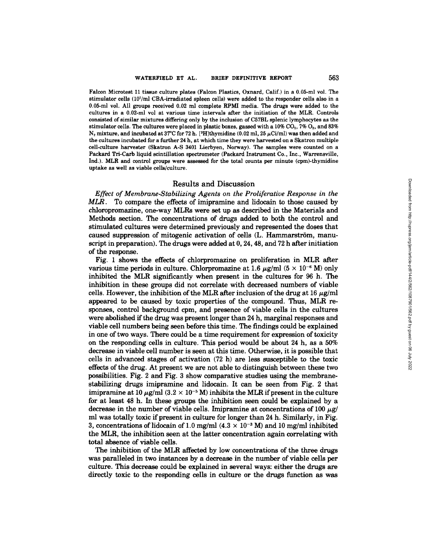Falcon Microtest Ii tissue culture plates (Falcon Plastics, Oxnard, Calif.) in a 0.05-ml vol. The stimulator cells (107/ml CBA-irradiated spleen cells) were added to the responder cells also in a  $0.05$ -mi vol. All groups received  $0.02$  mi complete RPMI media. The drugs were added to the cultures in a 0.02-mi vol at various time intervals after the initiation of the MLR. Controls consisted of similar mixtures differing only by the inclusion of C57BL splenic lymphocytes as the stimulator cells. The cultures were placed in plastic boxes, gassed with a  $10\%$  CO<sub>2</sub>,  $7\%$  O<sub>2</sub>, and 83%  $N_2$  mixture, and incubated at 37°C for 72 h. [<sup>3</sup>H]thymidine (0.02 ml, 25  $\mu$ Ci/ml) was then added and the cultures incubated for a further 24 h, at which time they were harvested on a Skatron multiple cell-culture harvester (Skatron A-S 3401 Lierbyen, Norway). The samples were counted on a Packard Tri-Carb liquid scintillation spectrometer (Packard Instrument Co., Inc., Warrensville, Ind.). MLR and control groups were assessed for the total counts per minute (cpm)-thymidine uptake as well as viable cells/culture.

## Results and Discussion

*Effect of Membrane-Stabilizing Agents on the Proliferative Response in the*  MLR. To compare the effects of imipramine and lidocain to those caused by chloropromazine, one-way MLRs were set up as described in the Materials and Methods section. The concentrations of drugs added to both the control and stimulated cultures were determined previously and represented the doses that caused suppression of mitogenic activation of cells (L. Hammarström, manuscript in preparation). The drugs were added at 0, 24, 48, and 72 h after initiation of the response.

Fig. 1 shows the effects of chlorpromazine on proliferation in MLR after various time periods in culture. Chlorpromazine at 1.6  $\mu$ g/ml (5 × 10<sup>-6</sup> M) only inhibited the MLR significantly when present in the cultures for 96 h. The inhibition in these groups did not correlate with decreased numbers of viable cells. However, the inhibition of the MLR after inclusion of the drug at 16  $\mu$ g/ml appeared to be caused by toxic properties of the compound. Thus, MLR responses, control background cpm, and presence of viable cells in the cultures were abolished if the drug was present longer than 24 h, marginal responses and viable cell numbers being seen before this time. The findings could be explained in one of two ways. There could be a time requirement for expression of toxicity on the responding cells in culture. This period would be about 24 h, as a 50% decrease in viable cell number is seen at this time. Otherwise, it is possible that cells in advanced stages of activation (72 h) are less susceptible to the toxic effects of the drug. At present we are not able to distinguish between these two possibilities. Fig. 2 and Fig. 3 show comparative studies using the membranestabilizing drugs imipramine and lidocain. It can be seen from Fig. 2 that imipramine at 10  $\mu$ g/ml (3.2 × 10<sup>-5</sup> M) inhibits the MLR if present in the culture for at least 48 h. In these groups the inhibition seen could be explained by a decrease in the number of viable cells. Imipramine at concentrations of 100  $\mu$ g/ ml was totally toxic if present in culture for longer than 24 h. Similarly, in Fig. 3, concentrations of lidocain of 1.0 mg/ml  $(4.3 \times 10^{-3} \text{ M})$  and 10 mg/ml inhibited the MLR, the inhibition seen at the latter concentration again correlating with total absence of viable cells.

The inhibition of the MLR affected by low concentrations of the three drugs was paralleled in two instances by a decrease in the number of viable cells per culture. This decrease could be explained in several ways: either the drugs are directly toxic to the responding cells in culture or the drugs function as was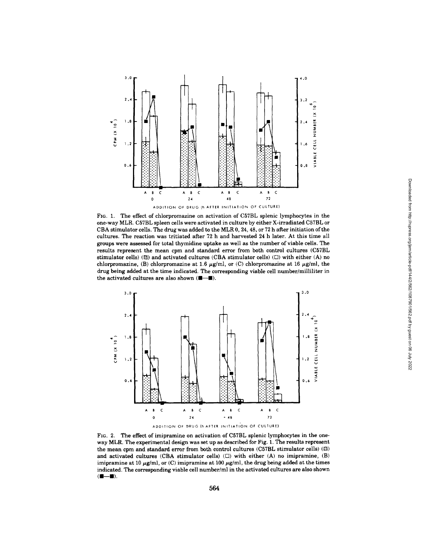

**FIG. 1.** The effect of chlorpromazine on activation of C57BL splenic lymphocytes in the one-way MLR, C57BL spleen cells were activated in culture by either X-irradiated C57BL or CBA stimulator cells. The drug was added to the MLR 0, 24, 48, or 72 h after initiation of the cultures. The reaction was tritiated after 72 h and harvested 24 h later. At this time all groups were assessed for total thymidine uptake as well as the number of viable cells. The results represent the mean cpm and standard error from both control cultures (C57BL stimulator cells) ( $\boxtimes$ ) and activated cultures (CBA stimulator cells) ( $\square$ ) with either (A) no chlorpromazine, (B) chlorpromazine at 1.6  $\mu$ g/ml, or (C) chlorpromazine at 16  $\mu$ g/ml, the drug being added at the time indicated. The corresponding viable cell number/milliliter in the activated cultures are also shown  $(1\!\!1\!-\!1\!\!1)$ .



FIG. 2. The effect of imipramine on activation of C57BL splenic lymphocytes in the oneway MLR. The experimental design was set up as described for Fig. 1. The results represent the mean cpm and standard error from both control cultures (C57BL stimulator cells)  $(⑤)$ and activated cultures (CBA stimulator cells)  $(\Box)$  with either (A) no imipramine, (B) imipramine at 10  $\mu$ g/ml, or (C) imipramine at 100  $\mu$ g/ml, the drug being added at the times indicated. The corresponding viable cell number/ml in the activated cultures are also shown  $(1-\)$ .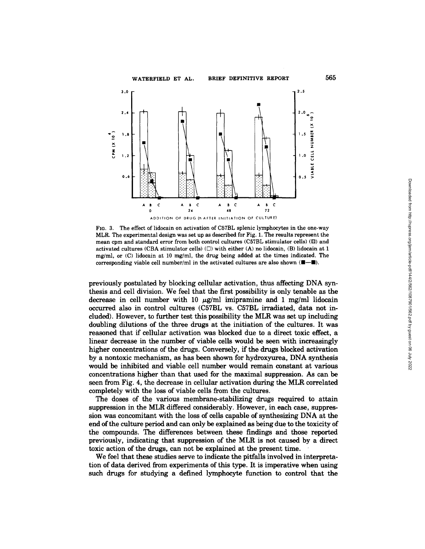

FzG. 3. **The effect of lidocain on activation of C57BL splenic lymphocytes in the one-way MLR. The experimental design was set up as described for** Fig. 1. The **results represent the mean cpm and standard error from both control cultures (C57BL stimulator cells) ([]) and**  activated cultures (CBA stimulator cells)  $(\Box)$  with either (A) no lidocain, (B) lidocain at 1 **mg/ml, or (C) lidocain at 10 mg/ml, the drug being added at the times indicated. The**  corresponding viable cell number/ml in the activated cultures are also shown  $(\blacksquare - \blacksquare)$ .

**previously postulated by blocking cellular activation, thus affecting DNA synthesis and cell division. We feel that the first possibility is only tenable as the**  decrease in cell number with 10  $\mu$ g/ml imipramine and 1 mg/ml lidocain **occurred also in control cultures (C57BL vs. C57BL irradiated, data not included). However, to further test this possibility the MLR was set up including doubling dilutions of the three drugs at the initiation of the cultures. It was reasoned that if cellular activation was blocked due to a direct toxic effect, a linear decrease in the number of viable cells would be seen with increasingly higher concentrations of the drugs. Conversely, if the drugs blocked activation by a nontoxic mechanism, as has been shown for hydroxyurea, DNA synthesis would be inhibited and viable cell number would remain constant at various concentrations higher than that used for the maximal suppression. As can be seen from Fig. 4, the decrease in cellular activation during the MLR correlated completely with the loss of viable cells from the cultures.** 

**The doses of the various membrane-stabilizing drugs required to attain suppression in the MLR differed considerably. However, in each case, suppression was concomitant with the loss of cells capable of synthesizing DNA at the end of the culture period and can only be explained as being due to the toxicity of the compounds. The differences between these findings and those reported previously, indicating that suppression of the MLR is not caused by a direct toxic action of the drugs, can not be explained at the present time.** 

**We feel that these studies serve to indicate the pitfalls involved in interpretation of data derived from experiments of this type. It is imperative when using such drugs for studying a defined lymphocyte function to control that the**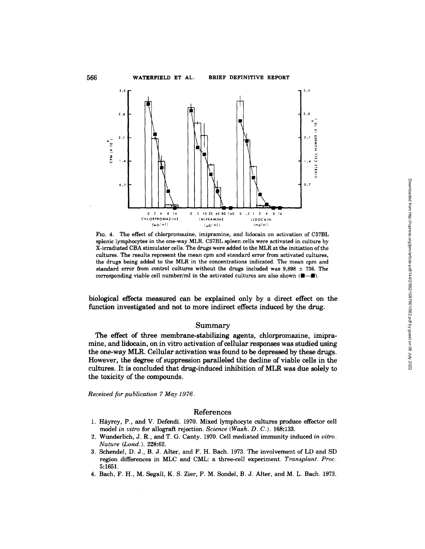

**FIG. 4. The effect of chlorpromazine, imipramine, and lidocain on activation of C57BL splenic lymphocytes in the one-way MLR. C57BL spleen cells were activated in culture by X-irradiated CBA stimulater cells. The drugs were added to the MLR at the initiation of the cultures. The results represent the mean cpm and standard error from activated cultures, the drugs being added to the MLR in the concentrations indicated. The mean cpm and standard error from control cultures without the drugs included was 9,898 ± 736. The**  corresponding viable cell number/ml in the activated cultures are also shown  $(\blacksquare - \blacksquare)$ .

**biological effects measured can be explained only by a direct effect on the function investigated and not to more indirect effects induced by the drug.** 

### **Summary**

**The effect of three membrane-stabilizing agents, chlorpromazine, imipramine, and lidocain, on in vitro activation of cellular responses was studied using the one-way MLR. Cellular activation was found to be depressed by these drugs. However, the degree of suppression paralleled the decline of viable cells in the cultures. It is concluded that drug-induced inhibition of MLR was due solely to the toxicity of the compounds.** 

*Received for publication 7 May 1976.* 

# **References**

- 1. Häyrey, P., and V. Defendi. 1970. Mixed lymphocyte cultures produce effector cell **model** *in vitro* **for allograft rejection.** *Science (Wash. D. C.).* **168:133.**
- **2. Wunderlich, J. R., and T. G. Canty. 1970. Cell mediated immunity induced** *in vitro. Nature (Lond.).* **228:62.**
- **3. Schendel, D. J., B. J. Alter, and F. H. Bach. 1973. The involvement of LD and SD region differences in MLC and CML: a three-cell experiment.** *Transplant. Proc.*  **5:1651.**
- **4. Bach, F. H., M. Segall, K. S. Zier, P. M. Sondel, B. J. Alter, and M. L. Bach. 1973.**